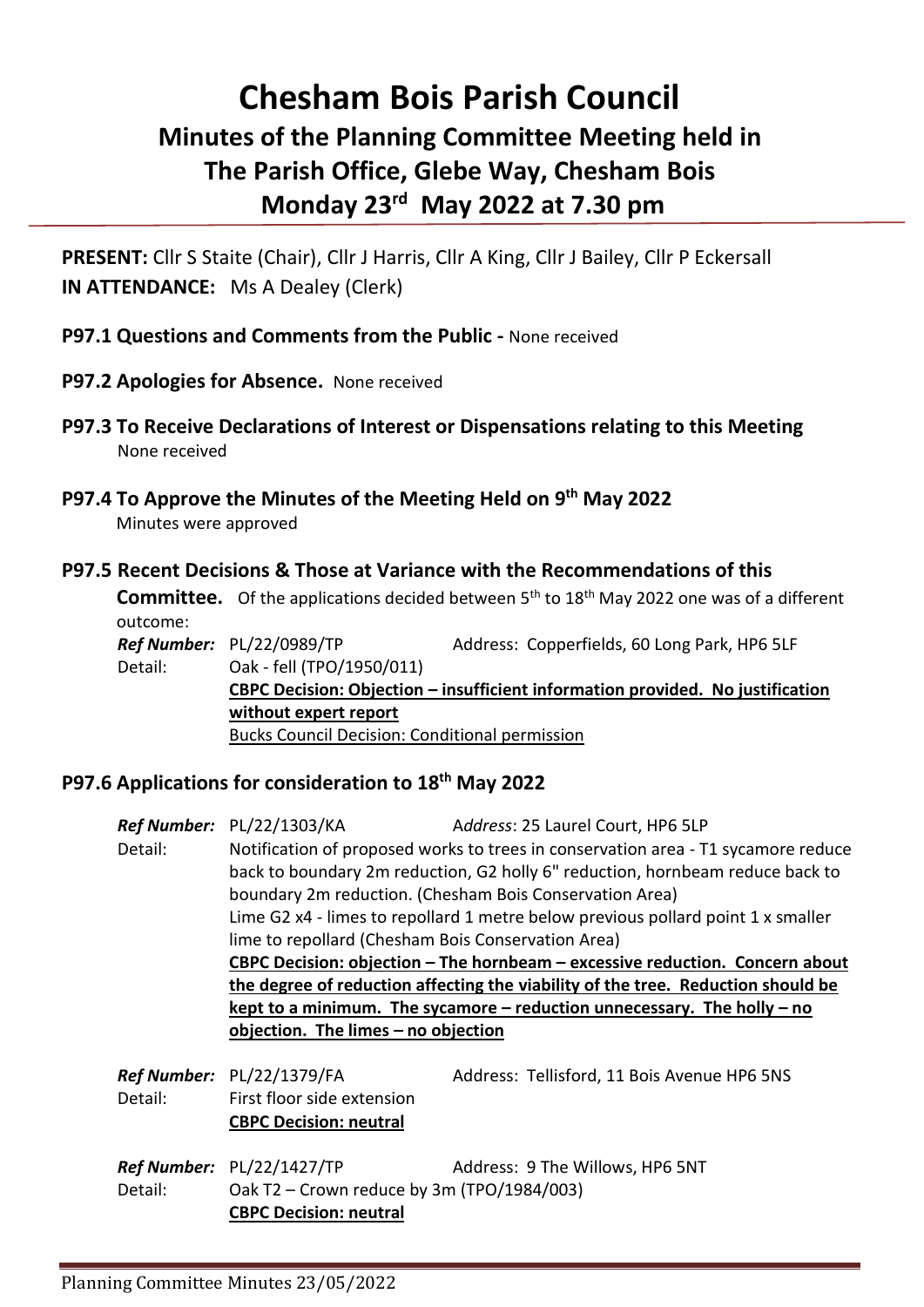# **Chesham Bois Parish Council Minutes of the Planning Committee Meeting held in The Parish Office, Glebe Way, Chesham Bois Monday 23rd May 2022 at 7.30 pm**

**PRESENT:** Cllr S Staite (Chair), Cllr J Harris, Cllr A King, Cllr J Bailey, Cllr P Eckersall **IN ATTENDANCE:** Ms A Dealey (Clerk)

## **P97.1 Questions and Comments from the Public -** None received

- **P97.2 Apologies for Absence.** None received
- **P97.3 To Receive Declarations of Interest or Dispensations relating to this Meeting** None received
- **P97.4 To Approve the Minutes of the Meeting Held on 9 th May 2022** Minutes were approved

#### **P97.5 Recent Decisions & Those at Variance with the Recommendations of this**

**Committee.** Of the applications decided between 5<sup>th</sup> to 18<sup>th</sup> May 2022 one was of a different outcome: *Ref Number:* PL/22/0989/TP Address: Copperfields, 60 Long Park, HP6 5LF

Detail: Oak - fell (TPO/1950/011) **CBPC Decision: Objection – insufficient information provided. No justification without expert report** Bucks Council Decision: Conditional permission

## **P97.6 Applications for consideration to 18th May 2022**

|         | <b>Ref Number:</b> PL/22/1303/KA                                                                                                                                                                       | Address: 25 Laurel Court, HP6 5LP                                            |
|---------|--------------------------------------------------------------------------------------------------------------------------------------------------------------------------------------------------------|------------------------------------------------------------------------------|
| Detail: | Notification of proposed works to trees in conservation area - T1 sycamore reduce                                                                                                                      |                                                                              |
|         | back to boundary 2m reduction, G2 holly 6" reduction, hornbeam reduce back to                                                                                                                          |                                                                              |
|         | boundary 2m reduction. (Chesham Bois Conservation Area)                                                                                                                                                |                                                                              |
|         | Lime G2 $x4$ - limes to repollard 1 metre below previous pollard point 1 x smaller                                                                                                                     |                                                                              |
|         | lime to repollard (Chesham Bois Conservation Area)                                                                                                                                                     |                                                                              |
|         |                                                                                                                                                                                                        | CBPC Decision: objection - The hornbeam - excessive reduction. Concern about |
|         | the degree of reduction affecting the viability of the tree. Reduction should be<br>kept to a minimum. The sycamore $-$ reduction unnecessary. The holly $-$ no<br>objection. The limes - no objection |                                                                              |
|         |                                                                                                                                                                                                        |                                                                              |
|         |                                                                                                                                                                                                        |                                                                              |
|         |                                                                                                                                                                                                        |                                                                              |
|         | Ref Number: PL/22/1379/FA                                                                                                                                                                              | Address: Tellisford, 11 Bois Avenue HP6 5NS                                  |
| Detail: | First floor side extension                                                                                                                                                                             |                                                                              |
|         | <b>CBPC Decision: neutral</b>                                                                                                                                                                          |                                                                              |
|         |                                                                                                                                                                                                        |                                                                              |
|         | Ref Number: PL/22/1427/TP                                                                                                                                                                              | Address: 9 The Willows, HP6 5NT                                              |
| Detail: | Oak T2 - Crown reduce by 3m (TPO/1984/003)                                                                                                                                                             |                                                                              |
|         | <b>CBPC Decision: neutral</b>                                                                                                                                                                          |                                                                              |
|         |                                                                                                                                                                                                        |                                                                              |